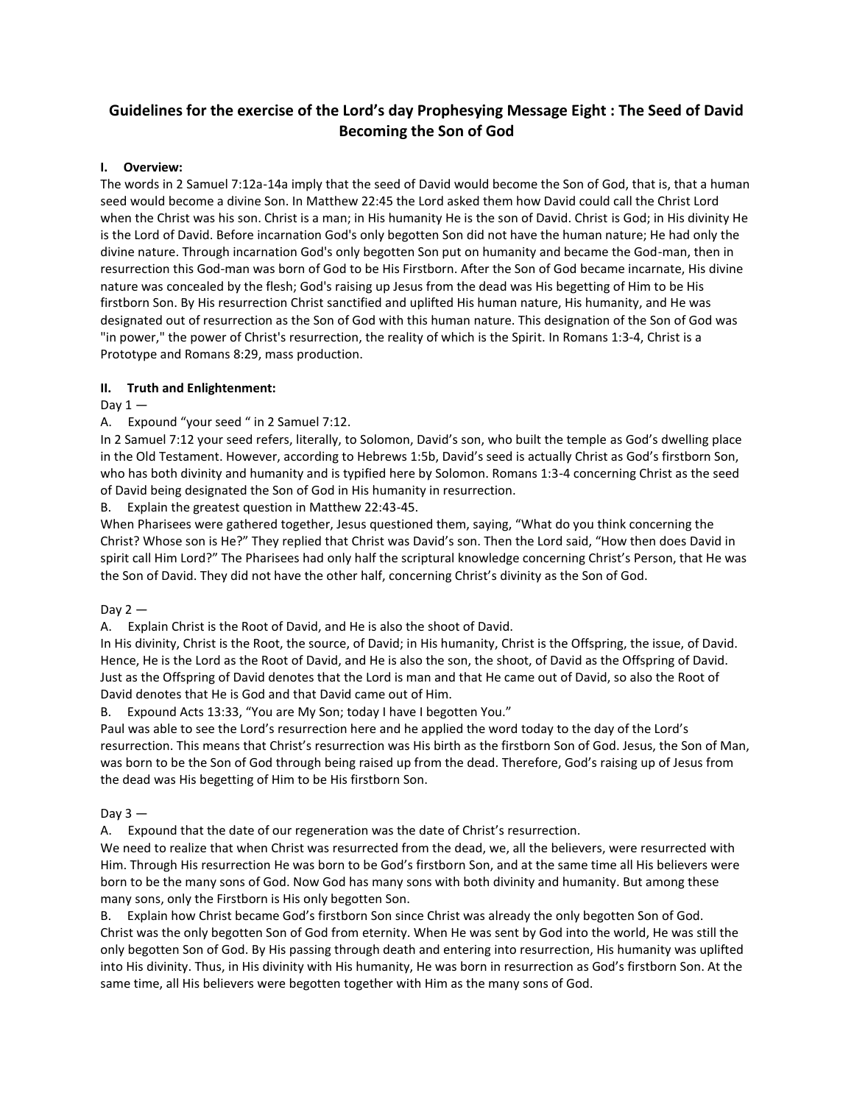# **Guidelines for the exercise of the Lord's day Prophesying Message Eight : The Seed of David Becoming the Son of God**

## **I. Overview:**

The words in 2 Samuel 7:12a-14a imply that the seed of David would become the Son of God, that is, that a human seed would become a divine Son. In Matthew 22:45 the Lord asked them how David could call the Christ Lord when the Christ was his son. Christ is a man; in His humanity He is the son of David. Christ is God; in His divinity He is the Lord of David. Before incarnation God's only begotten Son did not have the human nature; He had only the divine nature. Through incarnation God's only begotten Son put on humanity and became the God-man, then in resurrection this God-man was born of God to be His Firstborn. After the Son of God became incarnate, His divine nature was concealed by the flesh; God's raising up Jesus from the dead was His begetting of Him to be His firstborn Son. By His resurrection Christ sanctified and uplifted His human nature, His humanity, and He was designated out of resurrection as the Son of God with this human nature. This designation of the Son of God was "in power," the power of Christ's resurrection, the reality of which is the Spirit. In Romans 1:3-4, Christ is a Prototype and Romans 8:29, mass production.

## **II. Truth and Enlightenment:**

# Day  $1 -$

# A. Expound "your seed " in 2 Samuel 7:12.

In 2 Samuel 7:12 your seed refers, literally, to Solomon, David's son, who built the temple as God's dwelling place in the Old Testament. However, according to Hebrews 1:5b, David's seed is actually Christ as God's firstborn Son, who has both divinity and humanity and is typified here by Solomon. Romans 1:3-4 concerning Christ as the seed of David being designated the Son of God in His humanity in resurrection.

B. Explain the greatest question in Matthew 22:43-45.

When Pharisees were gathered together, Jesus questioned them, saying, "What do you think concerning the Christ? Whose son is He?" They replied that Christ was David's son. Then the Lord said, "How then does David in spirit call Him Lord?" The Pharisees had only half the scriptural knowledge concerning Christ's Person, that He was the Son of David. They did not have the other half, concerning Christ's divinity as the Son of God.

## Day  $2-$

A. Explain Christ is the Root of David, and He is also the shoot of David.

In His divinity, Christ is the Root, the source, of David; in His humanity, Christ is the Offspring, the issue, of David. Hence, He is the Lord as the Root of David, and He is also the son, the shoot, of David as the Offspring of David. Just as the Offspring of David denotes that the Lord is man and that He came out of David, so also the Root of David denotes that He is God and that David came out of Him.

B. Expound Acts 13:33, "You are My Son; today I have I begotten You."

Paul was able to see the Lord's resurrection here and he applied the word today to the day of the Lord's resurrection. This means that Christ's resurrection was His birth as the firstborn Son of God. Jesus, the Son of Man, was born to be the Son of God through being raised up from the dead. Therefore, God's raising up of Jesus from the dead was His begetting of Him to be His firstborn Son.

## Day  $3 -$

A. Expound that the date of our regeneration was the date of Christ's resurrection.

We need to realize that when Christ was resurrected from the dead, we, all the believers, were resurrected with Him. Through His resurrection He was born to be God's firstborn Son, and at the same time all His believers were born to be the many sons of God. Now God has many sons with both divinity and humanity. But among these many sons, only the Firstborn is His only begotten Son.

B. Explain how Christ became God's firstborn Son since Christ was already the only begotten Son of God. Christ was the only begotten Son of God from eternity. When He was sent by God into the world, He was still the only begotten Son of God. By His passing through death and entering into resurrection, His humanity was uplifted into His divinity. Thus, in His divinity with His humanity, He was born in resurrection as God's firstborn Son. At the same time, all His believers were begotten together with Him as the many sons of God.